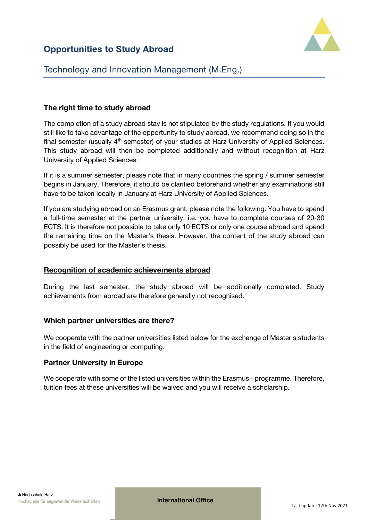# **Opportunities to Study Abroad**

# Technology and Innovation Management (M.Eng.)

# **The right time to study abroad**

The completion of a study abroad stay is not stipulated by the study regulations. If you would still like to take advantage of the opportunity to study abroad, we recommend doing so in the final semester (usually 4<sup>th</sup> semester) of your studies at Harz University of Applied Sciences. This study abroad will then be completed additionally and without recognition at Harz University of Applied Sciences.

If it is a summer semester, please note that in many countries the spring / summer semester begins in January. Therefore, it should be clarified beforehand whether any examinations still have to be taken locally in January at Harz University of Applied Sciences.

If you are studying abroad on an Erasmus grant, please note the following: You have to spend a full-time semester at the partner university, i.e. you have to complete courses of 20-30 ECTS. It is therefore not possible to take only 10 ECTS or only one course abroad and spend the remaining time on the Master's thesis. However, the content of the study abroad can possibly be used for the Master's thesis.

## **Recognition of academic achievements abroad**

During the last semester, the study abroad will be additionally completed. Study achievements from abroad are therefore generally not recognised.

## **Which partner universities are there?**

We cooperate with the partner universities listed below for the exchange of Master's students in the field of engineering or computing.

## **Partner University in Europe**

We cooperate with some of the listed universities within the Erasmus+ programme. Therefore, tuition fees at these universities will be waived and you will receive a scholarship.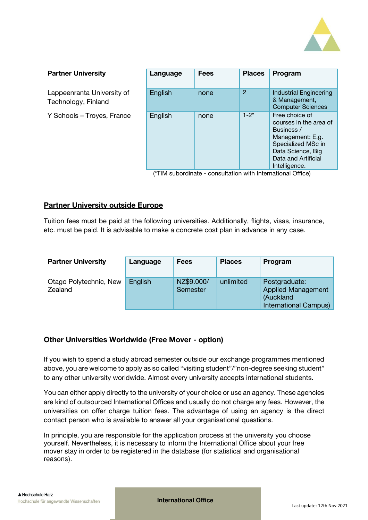

#### **Partner University Language Fees Places Program** Lappeenranta University of Technology, Finland English none 2 Industrial Engineering & Management, Computer Sciences Y Schools – Troyes, France English none 1-2<sup>\*</sup> Free choice of courses in the area of Business / Management: E.g. Specialized MSc in Data Science, Big Data and Artificial Intelligence.

(\*TIM subordinate - consultation with International Office)

## **Partner University outside Europe**

Tuition fees must be paid at the following universities. Additionally, flights, visas, insurance, etc. must be paid. It is advisable to make a concrete cost plan in advance in any case.

| <b>Partner University</b>         | Language | <b>Fees</b>            | <b>Places</b> | Program                                                                                 |
|-----------------------------------|----------|------------------------|---------------|-----------------------------------------------------------------------------------------|
| Otago Polytechnic, New<br>Zealand | English  | NZ\$9.000/<br>Semester | unlimited     | Postgraduate:<br><b>Applied Management</b><br>(Auckland<br><b>International Campus)</b> |

#### **Other Universities Worldwide (Free Mover - option)**

If you wish to spend a study abroad semester outside our exchange programmes mentioned above, you are welcome to apply as so called "visiting student"/"non-degree seeking student" to any other university worldwide. Almost every university accepts international students.

You can either apply directly to the university of your choice or use an agency. These agencies are kind of outsourced International Offices and usually do not charge any fees. However, the universities on offer charge tuition fees. The advantage of using an agency is the direct contact person who is available to answer all your organisational questions.

In principle, you are responsible for the application process at the university you choose yourself. Nevertheless, it is necessary to inform the International Office about your free mover stay in order to be registered in the database (for statistical and organisational reasons).